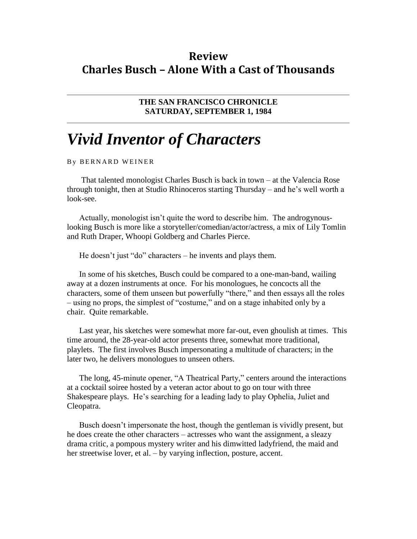## **Review Charles Busch – Alone With a Cast of Thousands**

**THE SAN FRANCISCO CHRONICLE SATURDAY, SEPTEMBER 1, 1984**

## *Vivid Inventor of Characters*

B Y BERNARD WEINER

That talented monologist Charles Busch is back in town – at the Valencia Rose through tonight, then at Studio Rhinoceros starting Thursday – and he's well worth a look-see.

Actually, monologist isn't quite the word to describe him. The androgynouslooking Busch is more like a storyteller/comedian/actor/actress, a mix of Lily Tomlin and Ruth Draper, Whoopi Goldberg and Charles Pierce.

He doesn't just "do" characters – he invents and plays them.

In some of his sketches, Busch could be compared to a one-man-band, wailing away at a dozen instruments at once. For his monologues, he concocts all the characters, some of them unseen but powerfully "there," and then essays all the roles – using no props, the simplest of "costume," and on a stage inhabited only by a chair. Quite remarkable.

Last year, his sketches were somewhat more far-out, even ghoulish at times. This time around, the 28-year-old actor presents three, somewhat more traditional, playlets. The first involves Busch impersonating a multitude of characters; in the later two, he delivers monologues to unseen others.

The long, 45-minute opener, "A Theatrical Party," centers around the interactions at a cocktail soiree hosted by a veteran actor about to go on tour with three Shakespeare plays. He's searching for a leading lady to play Ophelia, Juliet and Cleopatra.

Busch doesn't impersonate the host, though the gentleman is vividly present, but he does create the other characters – actresses who want the assignment, a sleazy drama critic, a pompous mystery writer and his dimwitted ladyfriend, the maid and her streetwise lover, et al. – by varying inflection, posture, accent.